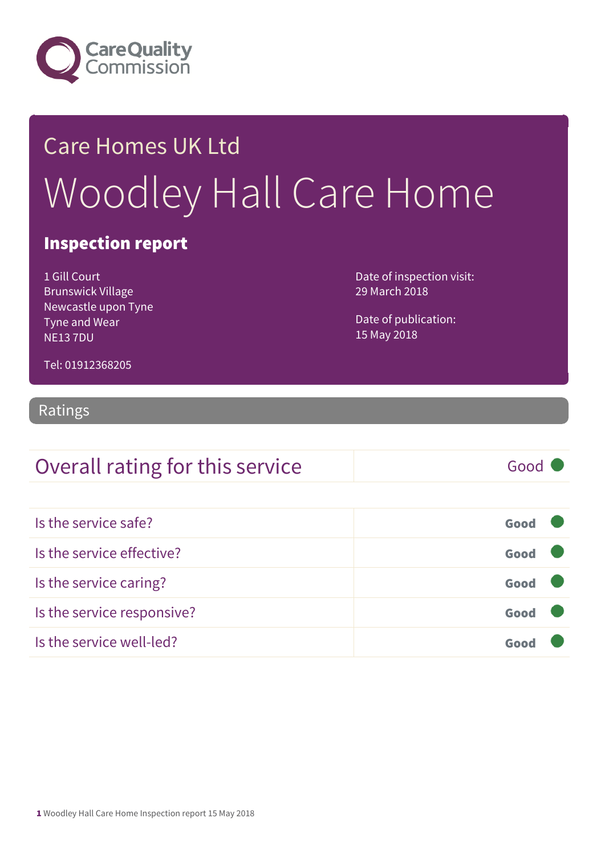

## Care Homes UK Ltd Woodley Hall Care Home

### Inspection report

1 Gill Court Brunswick Village Newcastle upon Tyne Tyne and Wear NE13 7DU

Date of inspection visit: 29 March 2018

Date of publication: 15 May 2018

Tel: 01912368205

### Ratings

### Overall rating for this service and all the Good C

Is the service safe? Good Is the service effective? Contact the service effective? Is the service caring? Good Is the service responsive? Good Is the service well-led? Good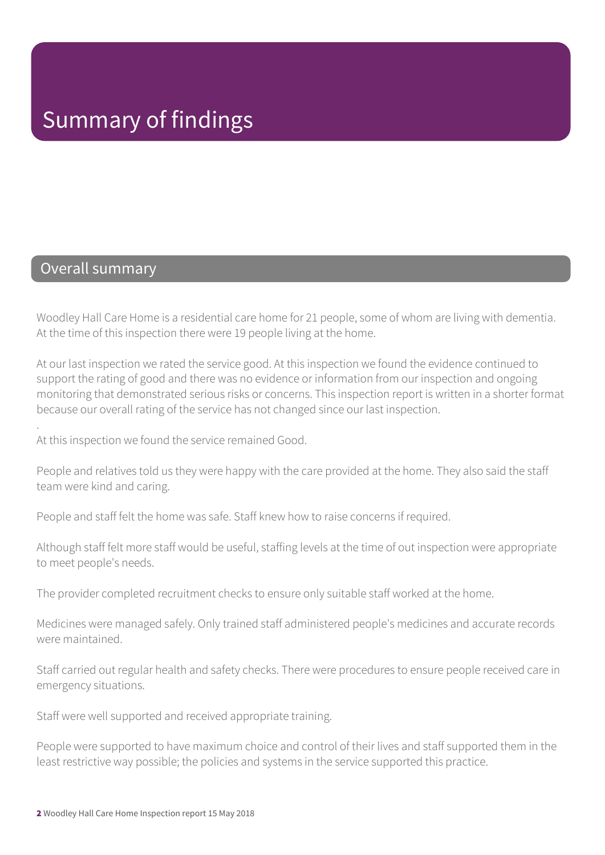### Overall summary

.

Woodley Hall Care Home is a residential care home for 21 people, some of whom are living with dementia. At the time of this inspection there were 19 people living at the home.

At our last inspection we rated the service good. At this inspection we found the evidence continued to support the rating of good and there was no evidence or information from our inspection and ongoing monitoring that demonstrated serious risks or concerns. This inspection report is written in a shorter format because our overall rating of the service has not changed since our last inspection.

At this inspection we found the service remained Good.

People and relatives told us they were happy with the care provided at the home. They also said the staff team were kind and caring.

People and staff felt the home was safe. Staff knew how to raise concerns if required.

Although staff felt more staff would be useful, staffing levels at the time of out inspection were appropriate to meet people's needs.

The provider completed recruitment checks to ensure only suitable staff worked at the home.

Medicines were managed safely. Only trained staff administered people's medicines and accurate records were maintained.

Staff carried out regular health and safety checks. There were procedures to ensure people received care in emergency situations.

Staff were well supported and received appropriate training.

People were supported to have maximum choice and control of their lives and staff supported them in the least restrictive way possible; the policies and systems in the service supported this practice.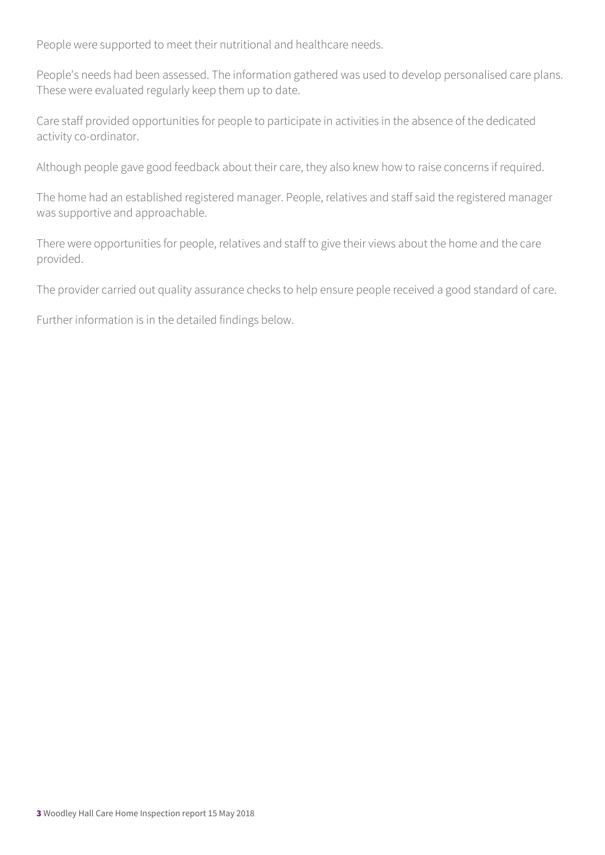People were supported to meet their nutritional and healthcare needs.

People's needs had been assessed. The information gathered was used to develop personalised care plans. These were evaluated regularly keep them up to date.

Care staff provided opportunities for people to participate in activities in the absence of the dedicated activity co-ordinator.

Although people gave good feedback about their care, they also knew how to raise concerns if required.

The home had an established registered manager. People, relatives and staff said the registered manager was supportive and approachable.

There were opportunities for people, relatives and staff to give their views about the home and the care provided.

The provider carried out quality assurance checks to help ensure people received a good standard of care.

Further information is in the detailed findings below.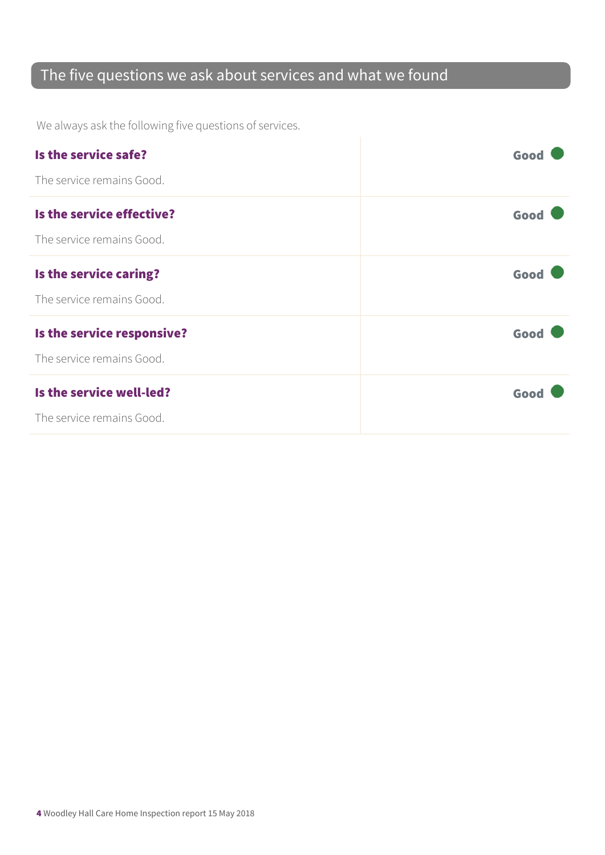### The five questions we ask about services and what we found

We always ask the following five questions of services.

| Is the service safe?       | Good |
|----------------------------|------|
| The service remains Good.  |      |
| Is the service effective?  | Good |
| The service remains Good.  |      |
| Is the service caring?     | Good |
| The service remains Good.  |      |
| Is the service responsive? | Good |
| The service remains Good.  |      |
| Is the service well-led?   | Good |
| The service remains Good.  |      |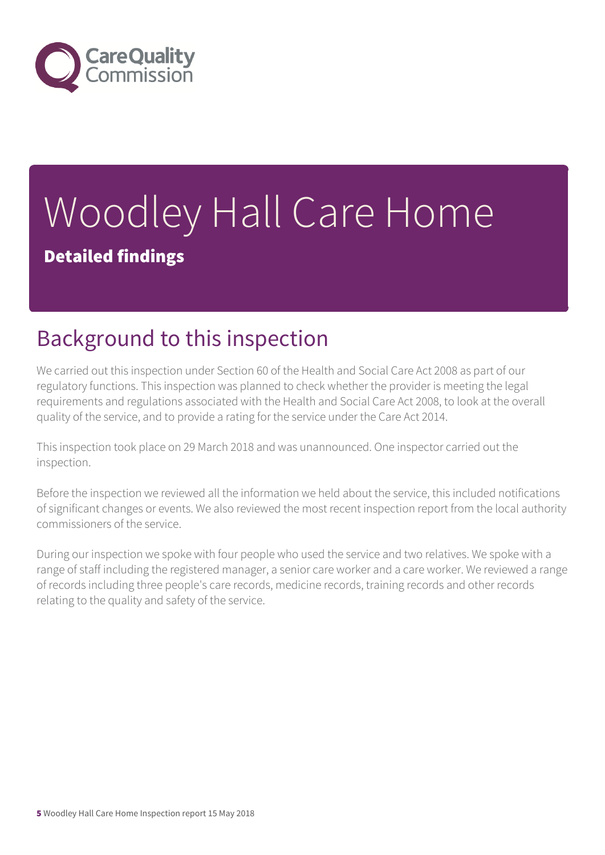

# Woodley Hall Care Home

Detailed findings

## Background to this inspection

We carried out this inspection under Section 60 of the Health and Social Care Act 2008 as part of our regulatory functions. This inspection was planned to check whether the provider is meeting the legal requirements and regulations associated with the Health and Social Care Act 2008, to look at the overall quality of the service, and to provide a rating for the service under the Care Act 2014.

This inspection took place on 29 March 2018 and was unannounced. One inspector carried out the inspection.

Before the inspection we reviewed all the information we held about the service, this included notifications of significant changes or events. We also reviewed the most recent inspection report from the local authority commissioners of the service.

During our inspection we spoke with four people who used the service and two relatives. We spoke with a range of staff including the registered manager, a senior care worker and a care worker. We reviewed a range of records including three people's care records, medicine records, training records and other records relating to the quality and safety of the service.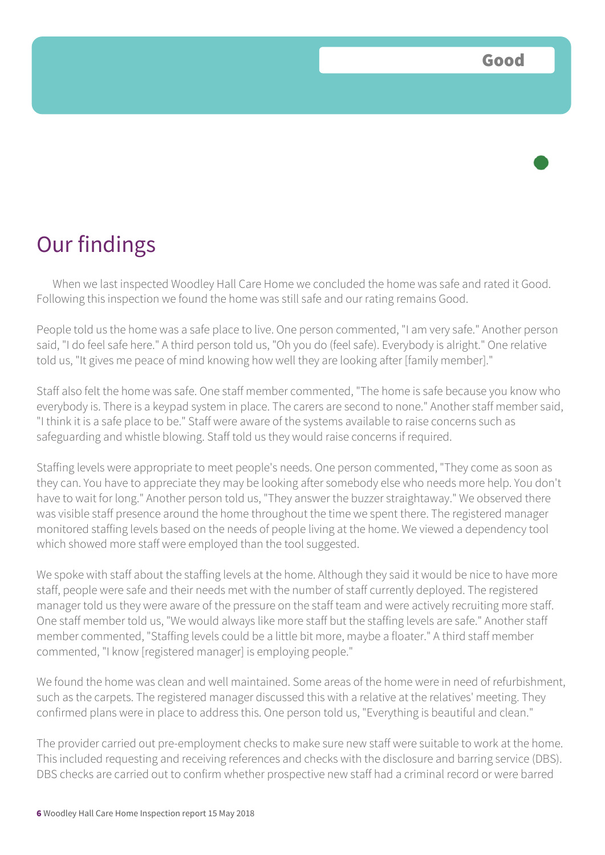

When we last inspected Woodley Hall Care Home we concluded the home was safe and rated it Good. Following this inspection we found the home was still safe and our rating remains Good.

People told us the home was a safe place to live. One person commented, "I am very safe." Another person said, "I do feel safe here." A third person told us, "Oh you do (feel safe). Everybody is alright." One relative told us, "It gives me peace of mind knowing how well they are looking after [family member]."

Staff also felt the home was safe. One staff member commented, "The home is safe because you know who everybody is. There is a keypad system in place. The carers are second to none." Another staff member said, "I think it is a safe place to be." Staff were aware of the systems available to raise concerns such as safeguarding and whistle blowing. Staff told us they would raise concerns if required.

Staffing levels were appropriate to meet people's needs. One person commented, "They come as soon as they can. You have to appreciate they may be looking after somebody else who needs more help. You don't have to wait for long." Another person told us, "They answer the buzzer straightaway." We observed there was visible staff presence around the home throughout the time we spent there. The registered manager monitored staffing levels based on the needs of people living at the home. We viewed a dependency tool which showed more staff were employed than the tool suggested.

We spoke with staff about the staffing levels at the home. Although they said it would be nice to have more staff, people were safe and their needs met with the number of staff currently deployed. The registered manager told us they were aware of the pressure on the staff team and were actively recruiting more staff. One staff member told us, "We would always like more staff but the staffing levels are safe." Another staff member commented, "Staffing levels could be a little bit more, maybe a floater." A third staff member commented, "I know [registered manager] is employing people."

We found the home was clean and well maintained. Some areas of the home were in need of refurbishment, such as the carpets. The registered manager discussed this with a relative at the relatives' meeting. They confirmed plans were in place to address this. One person told us, "Everything is beautiful and clean."

The provider carried out pre-employment checks to make sure new staff were suitable to work at the home. This included requesting and receiving references and checks with the disclosure and barring service (DBS). DBS checks are carried out to confirm whether prospective new staff had a criminal record or were barred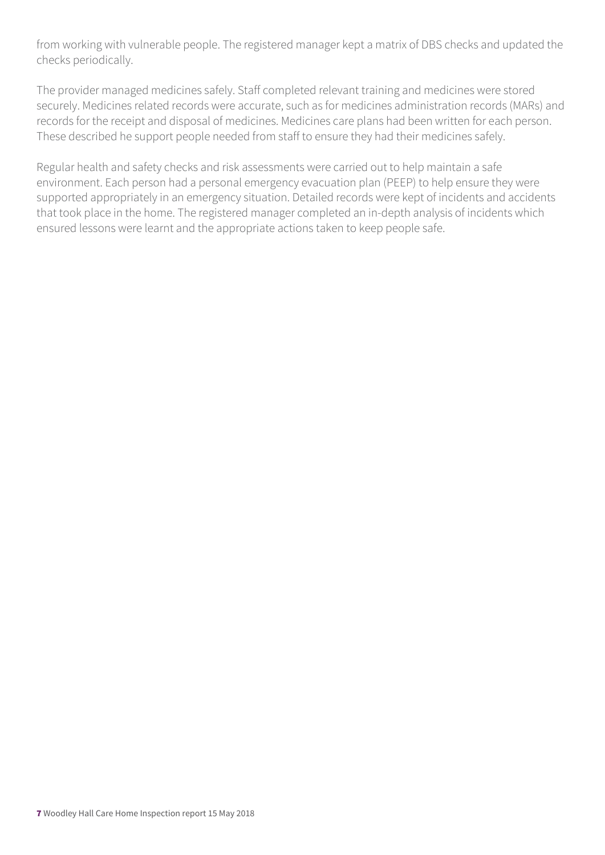from working with vulnerable people. The registered manager kept a matrix of DBS checks and updated the checks periodically.

The provider managed medicines safely. Staff completed relevant training and medicines were stored securely. Medicines related records were accurate, such as for medicines administration records (MARs) and records for the receipt and disposal of medicines. Medicines care plans had been written for each person. These described he support people needed from staff to ensure they had their medicines safely.

Regular health and safety checks and risk assessments were carried out to help maintain a safe environment. Each person had a personal emergency evacuation plan (PEEP) to help ensure they were supported appropriately in an emergency situation. Detailed records were kept of incidents and accidents that took place in the home. The registered manager completed an in-depth analysis of incidents which ensured lessons were learnt and the appropriate actions taken to keep people safe.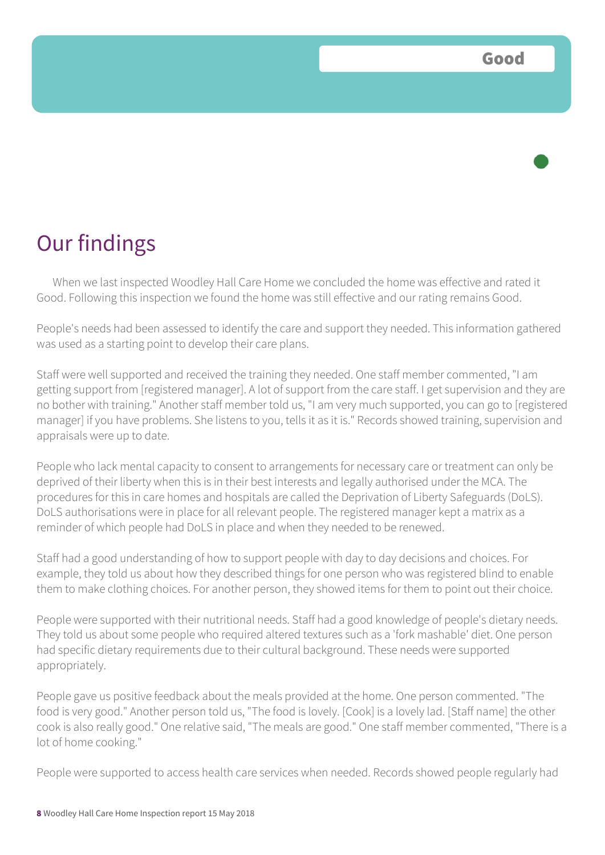When we last inspected Woodley Hall Care Home we concluded the home was effective and rated it Good. Following this inspection we found the home was still effective and our rating remains Good.

People's needs had been assessed to identify the care and support they needed. This information gathered was used as a starting point to develop their care plans.

Staff were well supported and received the training they needed. One staff member commented, "I am getting support from [registered manager]. A lot of support from the care staff. I get supervision and they are no bother with training." Another staff member told us, "I am very much supported, you can go to [registered manager] if you have problems. She listens to you, tells it as it is." Records showed training, supervision and appraisals were up to date.

People who lack mental capacity to consent to arrangements for necessary care or treatment can only be deprived of their liberty when this is in their best interests and legally authorised under the MCA. The procedures for this in care homes and hospitals are called the Deprivation of Liberty Safeguards (DoLS). DoLS authorisations were in place for all relevant people. The registered manager kept a matrix as a reminder of which people had DoLS in place and when they needed to be renewed.

Staff had a good understanding of how to support people with day to day decisions and choices. For example, they told us about how they described things for one person who was registered blind to enable them to make clothing choices. For another person, they showed items for them to point out their choice.

People were supported with their nutritional needs. Staff had a good knowledge of people's dietary needs. They told us about some people who required altered textures such as a 'fork mashable' diet. One person had specific dietary requirements due to their cultural background. These needs were supported appropriately.

People gave us positive feedback about the meals provided at the home. One person commented. "The food is very good." Another person told us, "The food is lovely. [Cook] is a lovely lad. [Staff name] the other cook is also really good." One relative said, "The meals are good." One staff member commented, "There is a lot of home cooking."

People were supported to access health care services when needed. Records showed people regularly had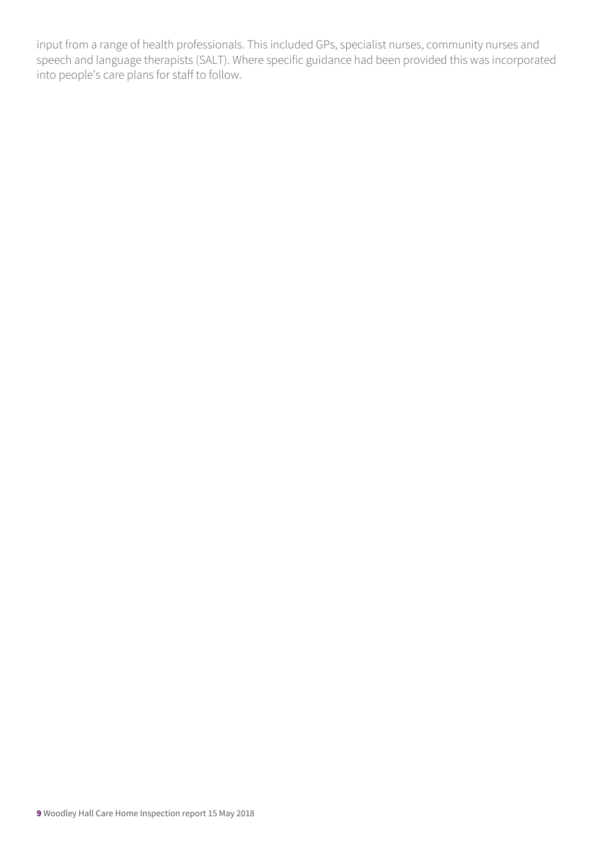input from a range of health professionals. This included GPs, specialist nurses, community nurses and speech and language therapists (SALT). Where specific guidance had been provided this was incorporated into people's care plans for staff to follow.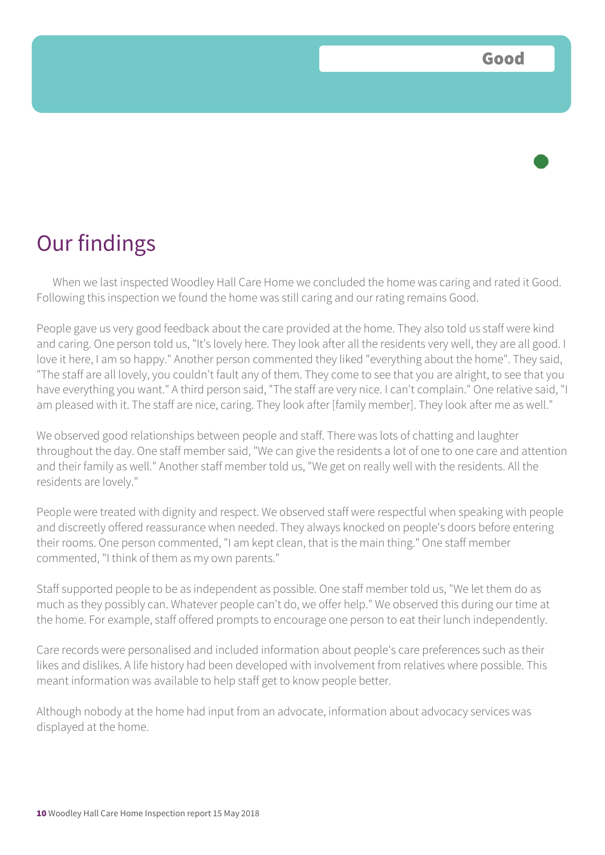When we last inspected Woodley Hall Care Home we concluded the home was caring and rated it Good. Following this inspection we found the home was still caring and our rating remains Good.

People gave us very good feedback about the care provided at the home. They also told us staff were kind and caring. One person told us, "It's lovely here. They look after all the residents very well, they are all good. I love it here, I am so happy." Another person commented they liked "everything about the home". They said, "The staff are all lovely, you couldn't fault any of them. They come to see that you are alright, to see that you have everything you want." A third person said, "The staff are very nice. I can't complain." One relative said, "I am pleased with it. The staff are nice, caring. They look after [family member]. They look after me as well."

We observed good relationships between people and staff. There was lots of chatting and laughter throughout the day. One staff member said, "We can give the residents a lot of one to one care and attention and their family as well." Another staff member told us, "We get on really well with the residents. All the residents are lovely."

People were treated with dignity and respect. We observed staff were respectful when speaking with people and discreetly offered reassurance when needed. They always knocked on people's doors before entering their rooms. One person commented, "I am kept clean, that is the main thing." One staff member commented, "I think of them as my own parents."

Staff supported people to be as independent as possible. One staff member told us, "We let them do as much as they possibly can. Whatever people can't do, we offer help." We observed this during our time at the home. For example, staff offered prompts to encourage one person to eat their lunch independently.

Care records were personalised and included information about people's care preferences such as their likes and dislikes. A life history had been developed with involvement from relatives where possible. This meant information was available to help staff get to know people better.

Although nobody at the home had input from an advocate, information about advocacy services was displayed at the home.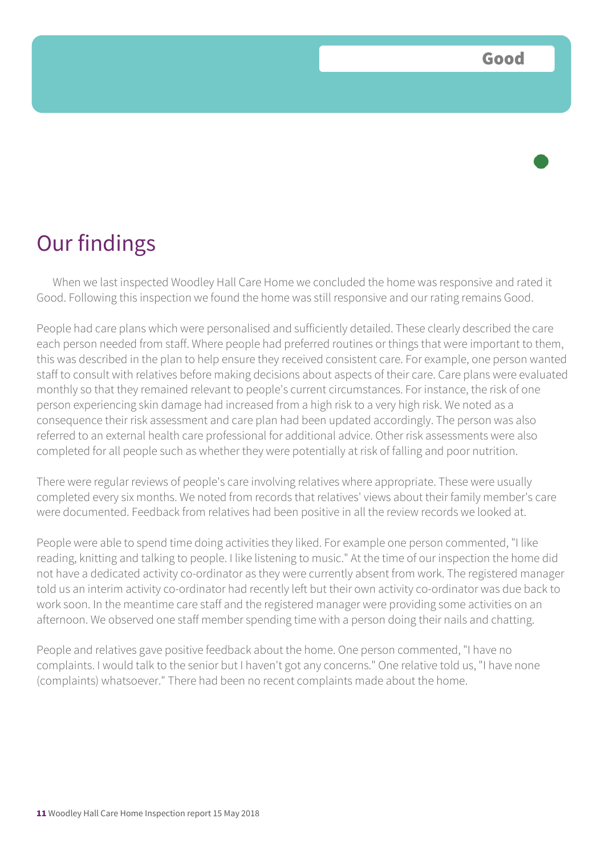When we last inspected Woodley Hall Care Home we concluded the home was responsive and rated it Good. Following this inspection we found the home was still responsive and our rating remains Good.

People had care plans which were personalised and sufficiently detailed. These clearly described the care each person needed from staff. Where people had preferred routines or things that were important to them, this was described in the plan to help ensure they received consistent care. For example, one person wanted staff to consult with relatives before making decisions about aspects of their care. Care plans were evaluated monthly so that they remained relevant to people's current circumstances. For instance, the risk of one person experiencing skin damage had increased from a high risk to a very high risk. We noted as a consequence their risk assessment and care plan had been updated accordingly. The person was also referred to an external health care professional for additional advice. Other risk assessments were also completed for all people such as whether they were potentially at risk of falling and poor nutrition.

There were regular reviews of people's care involving relatives where appropriate. These were usually completed every six months. We noted from records that relatives' views about their family member's care were documented. Feedback from relatives had been positive in all the review records we looked at.

People were able to spend time doing activities they liked. For example one person commented, "I like reading, knitting and talking to people. I like listening to music." At the time of our inspection the home did not have a dedicated activity co-ordinator as they were currently absent from work. The registered manager told us an interim activity co-ordinator had recently left but their own activity co-ordinator was due back to work soon. In the meantime care staff and the registered manager were providing some activities on an afternoon. We observed one staff member spending time with a person doing their nails and chatting.

People and relatives gave positive feedback about the home. One person commented, "I have no complaints. I would talk to the senior but I haven't got any concerns." One relative told us, "I have none (complaints) whatsoever." There had been no recent complaints made about the home.